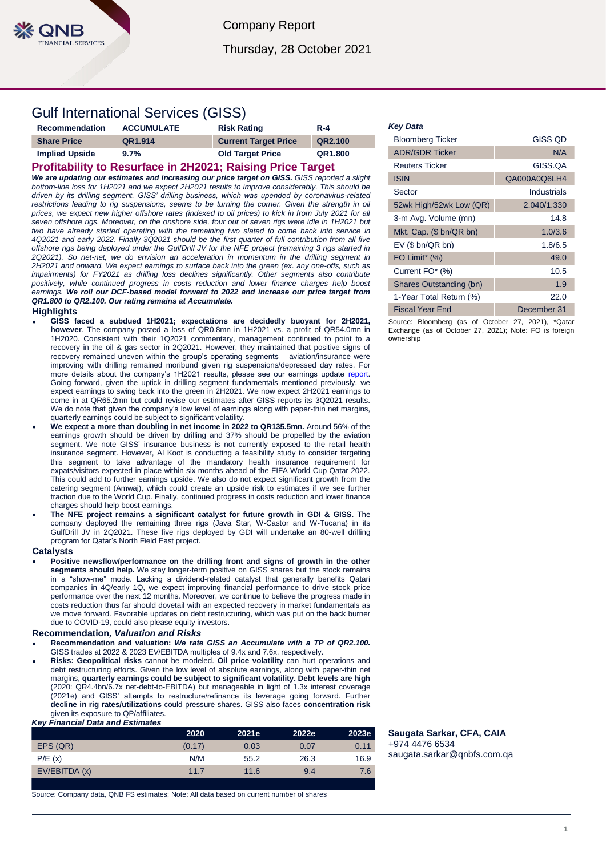

Company Report

# Thursday, 28 October 2021

# Gulf International Services (GISS)

| <b>Recommendation</b> | <b>ACCUMULATE</b> | <b>Risk Rating</b>          | <b>R-4</b> |
|-----------------------|-------------------|-----------------------------|------------|
| <b>Share Price</b>    | QR1.914           | <b>Current Target Price</b> | QR2.100    |
| <b>Implied Upside</b> | 9.7%              | <b>Old Target Price</b>     | QR1.800    |

# **Profitability to Resurface in 2H2021; Raising Price Target**

*We are updating our estimates and increasing our price target on GISS. GISS reported a slight bottom-line loss for 1H2021 and we expect 2H2021 results to improve considerably. This should be driven by its drilling segment. GISS' drilling business, which was upended by coronavirus-related*  restrictions leading to rig suspensions, seems to be turning the corner. Given the strength in oil *prices, we expect new higher offshore rates (indexed to oil prices) to kick in from July 2021 for all seven offshore rigs. Moreover, on the onshore side, four out of seven rigs were idle in 1H2021 but two have already started operating with the remaining two slated to come back into service in 4Q2021 and early 2022. Finally 3Q2021 should be the first quarter of full contribution from all five offshore rigs being deployed under the GulfDrill JV for the NFE project (remaining 3 rigs started in 2Q2021). So net-net, we do envision an acceleration in momentum in the drilling segment in 2H2021 and onward. We expect earnings to surface back into the green (ex. any one-offs, such as impairments) for FY2021 as drilling loss declines significantly. Other segments also contribute*  positively, while continued progress in costs reduction and lower finance charges help boost *earnings. We roll our DCF-based model forward to 2022 and increase our price target from QR1.800 to QR2.100. Our rating remains at Accumulate.* 

### **Highlights**

- **GISS faced a subdued 1H2021; expectations are decidedly buoyant for 2H2021, however**. The company posted a loss of QR0.8mn in 1H2021 vs. a profit of QR54.0mn in 1H2020. Consistent with their 1Q2021 commentary, management continued to point to a recovery in the oil & gas sector in 2Q2021. However, they maintained that positive signs of recovery remained uneven within the group's operating segments – aviation/insurance were improving with drilling remained moribund given rig suspensions/depressed day rates. For more details about the company's 1H2021 results, please see our earnings update report. Going forward, given the uptick in drilling segment fundamentals mentioned previously, we expect earnings to swing back into the green in 2H2021. We now expect 2H2021 earnings to come in at QR65.2mn but could revise our estimates after GISS reports its 3Q2021 results. We do note that given the company's low level of earnings along with paper-thin net margins, quarterly earnings could be subject to significant volatility.
- **We expect a more than doubling in net income in 2022 to QR135.5mn.** Around 56% of the earnings growth should be driven by drilling and 37% should be propelled by the aviation segment. We note GISS' insurance business is not currently exposed to the retail health insurance segment. However, Al Koot is conducting a feasibility study to consider targeting this segment to take advantage of the mandatory health insurance requirement for expats/visitors expected in place within six months ahead of the FIFA World Cup Qatar 2022. This could add to further earnings upside. We also do not expect significant growth from the catering segment (Amwaj), which could create an upside risk to estimates if we see further traction due to the World Cup. Finally, continued progress in costs reduction and lower finance charges should help boost earnings.
- **The NFE project remains a significant catalyst for future growth in GDI & GISS.** The company deployed the remaining three rigs (Java Star, W-Castor and W-Tucana) in its GulfDrill JV in 2Q2021. These five rigs deployed by GDI will undertake an 80-well drilling program for Qatar's North Field East project.

## **Catalysts**

 **Positive newsflow/performance on the drilling front and signs of growth in the other segments should help.** We stay longer-term positive on GISS shares but the stock remains in a "show-me" mode. Lacking a dividend-related catalyst that generally benefits Qatari companies in 4Q/early 1Q, we expect improving financial performance to drive stock price performance over the next 12 months. Moreover, we continue to believe the progress made in costs reduction thus far should dovetail with an expected recovery in market fundamentals as we move forward. Favorable updates on debt restructuring, which was put on the back burner due to COVID-19, could also please equity investors.

#### **Recommendation***, Valuation and Risks*

- **Recommendation and valuation:** *We rate GISS an Accumulate with a TP of QR2.100.*  GISS trades at 2022 & 2023 EV/EBITDA multiples of 9.4x and 7.6x, respectively.
- **Risks: Geopolitical risks** cannot be modeled. **Oil price volatility** can hurt operations and debt restructuring efforts. Given the low level of absolute earnings, along with paper-thin net margins, **quarterly earnings could be subject to significant volatility. Debt levels are high** (2020: QR4.4bn/6.7x net-debt-to-EBITDA) but manageable in light of 1.3x interest coverage (2021e) and GISS' attempts to restructure/refinance its leverage going forward. Further **decline in rig rates/utilizations** could pressure shares. GISS also faces **concentration risk** given its exposure to QP/affiliates.

#### *Key Financial Data and Estimates*

|               | 2020   | 2021e <sup>'</sup> | 2022e | 2023e |
|---------------|--------|--------------------|-------|-------|
| EPS (QR)      | (0.17) | 0.03               | 0.07  | 0.11  |
| P/E(x)        | N/M    | 55.2               | 26.3  | 16.9  |
| EV/EBITDA (x) | 11.7   | 11.6               | 9.4   | 7.6   |
|               |        |                    |       |       |

Source: Company data, QNB FS estimates; Note: All data based on current number of shares

#### *Key Data*

| <b>Bloomberg Ticker</b>   | <b>GISS QD</b> |
|---------------------------|----------------|
| <b>ADR/GDR Ticker</b>     | N/A            |
| Reuters Ticker            | GISS.OA        |
| <b>ISIN</b>               | QA000A0Q6LH4   |
| Sector                    | Industrials    |
| 52wk High/52wk Low (QR)   | 2.040/1.330    |
| 3-m Avg. Volume (mn)      | 14.8           |
| Mkt. Cap. (\$ bn/QR bn)   | 1.0/3.6        |
| $EV$ (\$ bn/QR bn)        | 1.8/6.5        |
| FO Limit <sup>*</sup> (%) | 49.0           |
| Current FO* (%)           | 10.5           |
| Shares Outstanding (bn)   | 1.9            |
| 1-Year Total Return (%)   | 22.0           |
| <b>Fiscal Year End</b>    | December 31    |

Source: Bloomberg (as of October 27, 2021), \*Qatar Exchange (as of October 27, 2021); Note: FO is foreign ownership

**Saugata Sarkar, CFA, CAIA** +974 4476 6534 [saugata.sarkar@qnbfs.com.qa](mailto:saugata.sarkar@qnbfs.com.qa)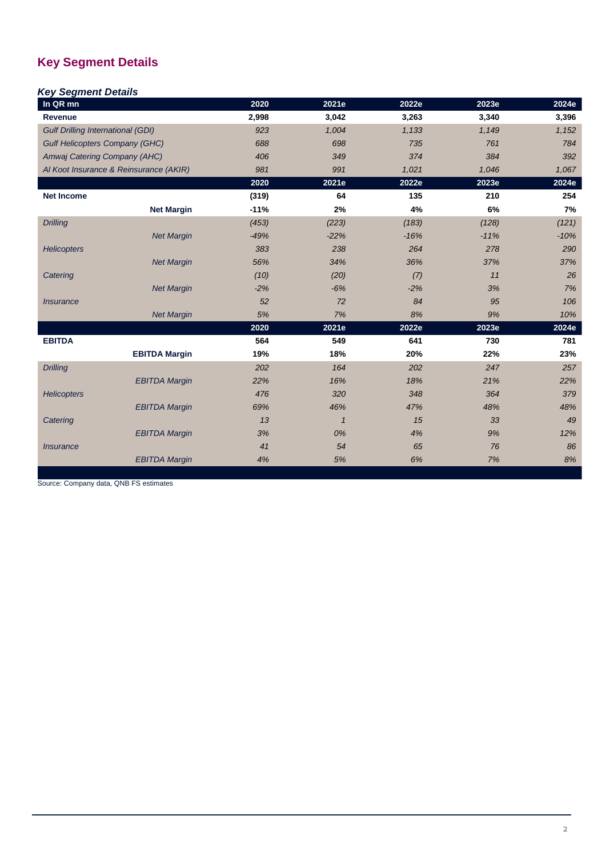# **Key Segment Details**

# *Key Segment Details*

| In QR mn                                 |                      | 2020   | 2021e        | 2022e  | 2023e  | 2024e  |
|------------------------------------------|----------------------|--------|--------------|--------|--------|--------|
| Revenue                                  |                      | 2,998  | 3,042        | 3,263  | 3,340  | 3,396  |
| <b>Gulf Drilling International (GDI)</b> |                      | 923    | 1,004        | 1,133  | 1,149  | 1,152  |
| <b>Gulf Helicopters Company (GHC)</b>    |                      | 688    | 698          | 735    | 761    | 784    |
| Amwaj Catering Company (AHC)             |                      | 406    | 349          | 374    | 384    | 392    |
| Al Koot Insurance & Reinsurance (AKIR)   |                      | 981    | 991          | 1,021  | 1,046  | 1,067  |
|                                          |                      | 2020   | 2021e        | 2022e  | 2023e  | 2024e  |
| <b>Net Income</b>                        |                      | (319)  | 64           | 135    | 210    | 254    |
|                                          | <b>Net Margin</b>    | $-11%$ | 2%           | 4%     | 6%     | 7%     |
| <b>Drilling</b>                          |                      | (453)  | (223)        | (183)  | (128)  | (121)  |
|                                          | <b>Net Margin</b>    | $-49%$ | $-22%$       | $-16%$ | $-11%$ | $-10%$ |
| <b>Helicopters</b>                       |                      | 383    | 238          | 264    | 278    | 290    |
|                                          | <b>Net Margin</b>    | 56%    | 34%          | 36%    | 37%    | 37%    |
| Catering                                 |                      | (10)   | (20)         | (7)    | 11     | 26     |
|                                          | <b>Net Margin</b>    | $-2%$  | $-6%$        | $-2%$  | 3%     | 7%     |
| <i><b>Insurance</b></i>                  |                      | 52     | 72           | 84     | 95     | 106    |
|                                          | <b>Net Margin</b>    | 5%     | 7%           | 8%     | 9%     | 10%    |
|                                          |                      | 2020   | 2021e        | 2022e  | 2023e  | 2024e  |
| <b>EBITDA</b>                            |                      | 564    | 549          | 641    | 730    | 781    |
|                                          | <b>EBITDA Margin</b> | 19%    | 18%          | 20%    | 22%    | 23%    |
| <b>Drilling</b>                          |                      | 202    | 164          | 202    | 247    | 257    |
|                                          | <b>EBITDA Margin</b> | 22%    | 16%          | 18%    | 21%    | 22%    |
| <b>Helicopters</b>                       |                      | 476    | 320          | 348    | 364    | 379    |
|                                          | <b>EBITDA Margin</b> | 69%    | 46%          | 47%    | 48%    | 48%    |
| Catering                                 |                      | 13     | $\mathbf{1}$ | 15     | 33     | 49     |
|                                          | <b>EBITDA Margin</b> | 3%     | 0%           | 4%     | 9%     | 12%    |
| <i><b>Insurance</b></i>                  |                      | 41     | 54           | 65     | 76     | 86     |
|                                          | <b>EBITDA Margin</b> | 4%     | 5%           | 6%     | 7%     | 8%     |

Source: Company data, QNB FS estimates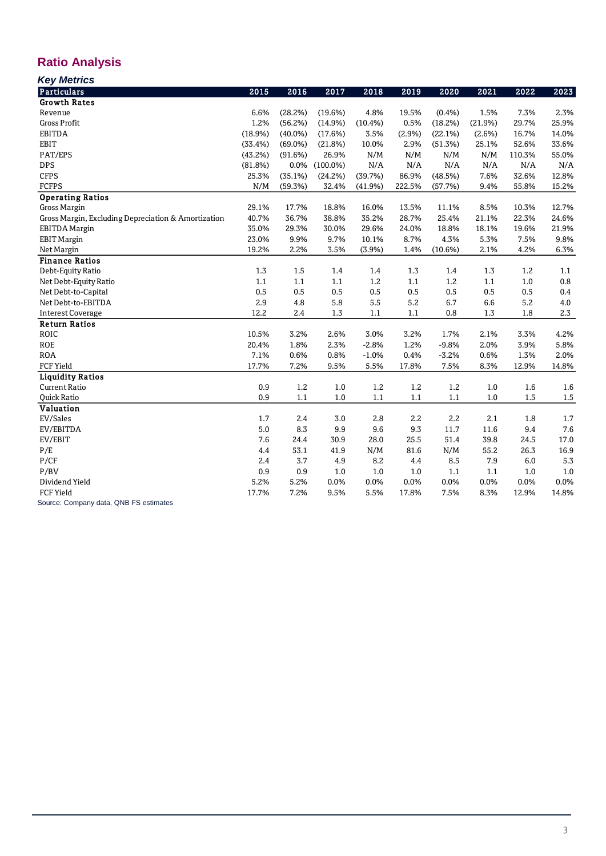# **Ratio Analysis**

| Kou Motrice |
|-------------|

| <b>Key Metrics</b>                                  |         |            |             |         |         |         |         |        |       |
|-----------------------------------------------------|---------|------------|-------------|---------|---------|---------|---------|--------|-------|
| <b>Particulars</b>                                  | 2015    | 2016       | 2017        | 2018    | 2019    | 2020    | 2021    | 2022   | 2023  |
| <b>Growth Rates</b>                                 |         |            |             |         |         |         |         |        |       |
| Revenue                                             | 6.6%    | (28.2%)    | (19.6%)     | 4.8%    | 19.5%   | (0.4% ) | 1.5%    | 7.3%   | 2.3%  |
| <b>Gross Profit</b>                                 | 1.2%    | (56.2%)    | (14.9%)     | (10.4%) | 0.5%    | (18.2%) | (21.9%) | 29.7%  | 25.9% |
| <b>EBITDA</b>                                       | (18.9%) | $(40.0\%)$ | (17.6%)     | 3.5%    | (2.9%)  | (22.1%) | (2.6%)  | 16.7%  | 14.0% |
| <b>EBIT</b>                                         | (33.4%) | $(69.0\%)$ | (21.8%)     | 10.0%   | 2.9%    | (51.3%) | 25.1%   | 52.6%  | 33.6% |
| PAT/EPS                                             | (43.2%) | (91.6%)    | 26.9%       | N/M     | N/M     | N/M     | N/M     | 110.3% | 55.0% |
| <b>DPS</b>                                          | (81.8%) | 0.0%       | $(100.0\%)$ | N/A     | N/A     | N/A     | N/A     | N/A    | N/A   |
| <b>CFPS</b>                                         | 25.3%   | (35.1%)    | (24.2%)     | (39.7%) | 86.9%   | (48.5%) | 7.6%    | 32.6%  | 12.8% |
| <b>FCFPS</b>                                        | N/M     | (59.3%)    | 32.4%       | (41.9%) | 222.5%  | (57.7%) | 9.4%    | 55.8%  | 15.2% |
| <b>Operating Ratios</b>                             |         |            |             |         |         |         |         |        |       |
| <b>Gross Margin</b>                                 | 29.1%   | 17.7%      | 18.8%       | 16.0%   | 13.5%   | 11.1%   | 8.5%    | 10.3%  | 12.7% |
| Gross Margin, Excluding Depreciation & Amortization | 40.7%   | 36.7%      | 38.8%       | 35.2%   | 28.7%   | 25.4%   | 21.1%   | 22.3%  | 24.6% |
| <b>EBITDA</b> Margin                                | 35.0%   | 29.3%      | 30.0%       | 29.6%   | 24.0%   | 18.8%   | 18.1%   | 19.6%  | 21.9% |
| <b>EBIT Margin</b>                                  | 23.0%   | 9.9%       | 9.7%        | 10.1%   | 8.7%    | 4.3%    | 5.3%    | 7.5%   | 9.8%  |
| Net Margin                                          | 19.2%   | 2.2%       | 3.5%        | (3.9%)  | 1.4%    | (10.6%) | 2.1%    | 4.2%   | 6.3%  |
| <b>Finance Ratios</b>                               |         |            |             |         |         |         |         |        |       |
| Debt-Equity Ratio                                   | 1.3     | 1.5        | 1.4         | 1.4     | 1.3     | 1.4     | 1.3     | 1.2    | 1.1   |
| Net Debt-Equity Ratio                               | 1.1     | 1.1        | 1.1         | 1.2     | 1.1     | 1.2     | 1.1     | 1.0    | 0.8   |
| Net Debt-to-Capital                                 | 0.5     | 0.5        | 0.5         | 0.5     | 0.5     | 0.5     | 0.5     | 0.5    | 0.4   |
| Net Debt-to-EBITDA                                  | 2.9     | 4.8        | 5.8         | 5.5     | 5.2     | 6.7     | 6.6     | 5.2    | 4.0   |
| <b>Interest Coverage</b>                            | 12.2    | 2.4        | 1.3         | 1.1     | $1.1\,$ | 0.8     | 1.3     | 1.8    | 2.3   |
| <b>Return Ratios</b>                                |         |            |             |         |         |         |         |        |       |
| <b>ROIC</b>                                         | 10.5%   | 3.2%       | 2.6%        | 3.0%    | 3.2%    | 1.7%    | 2.1%    | 3.3%   | 4.2%  |
| <b>ROE</b>                                          | 20.4%   | 1.8%       | 2.3%        | $-2.8%$ | 1.2%    | $-9.8%$ | 2.0%    | 3.9%   | 5.8%  |
| <b>ROA</b>                                          | 7.1%    | 0.6%       | 0.8%        | $-1.0%$ | 0.4%    | $-3.2%$ | 0.6%    | 1.3%   | 2.0%  |
| <b>FCF Yield</b>                                    | 17.7%   | 7.2%       | 9.5%        | 5.5%    | 17.8%   | 7.5%    | 8.3%    | 12.9%  | 14.8% |
| <b>Liquidity Ratios</b>                             |         |            |             |         |         |         |         |        |       |
| <b>Current Ratio</b>                                | 0.9     | 1.2        | 1.0         | 1.2     | 1.2     | 1.2     | 1.0     | 1.6    | 1.6   |
| Quick Ratio                                         | 0.9     | 1.1        | 1.0         | 1.1     | 1.1     | 1.1     | 1.0     | 1.5    | 1.5   |
| <b>Valuation</b>                                    |         |            |             |         |         |         |         |        |       |
| EV/Sales                                            | 1.7     | 2.4        | 3.0         | 2.8     | 2.2     | 2.2     | 2.1     | 1.8    | 1.7   |
| EV/EBITDA                                           | 5.0     | 8.3        | 9.9         | 9.6     | 9.3     | 11.7    | 11.6    | 9.4    | 7.6   |
| EV/EBIT                                             | 7.6     | 24.4       | 30.9        | 28.0    | 25.5    | 51.4    | 39.8    | 24.5   | 17.0  |
| P/E                                                 | 4.4     | 53.1       | 41.9        | N/M     | 81.6    | N/M     | 55.2    | 26.3   | 16.9  |
| P/CF                                                | 2.4     | 3.7        | 4.9         | 8.2     | 4.4     | 8.5     | 7.9     | 6.0    | 5.3   |
| P/BV                                                | 0.9     | 0.9        | 1.0         | 1.0     | 1.0     | 1.1     | 1.1     | 1.0    | 1.0   |
| Dividend Yield                                      | 5.2%    | 5.2%       | 0.0%        | 0.0%    | 0.0%    | 0.0%    | 0.0%    | 0.0%   | 0.0%  |
| <b>FCF Yield</b>                                    | 17.7%   | 7.2%       | 9.5%        | 5.5%    | 17.8%   | 7.5%    | 8.3%    | 12.9%  | 14.8% |
| Source: Company data, QNB FS estimates              |         |            |             |         |         |         |         |        |       |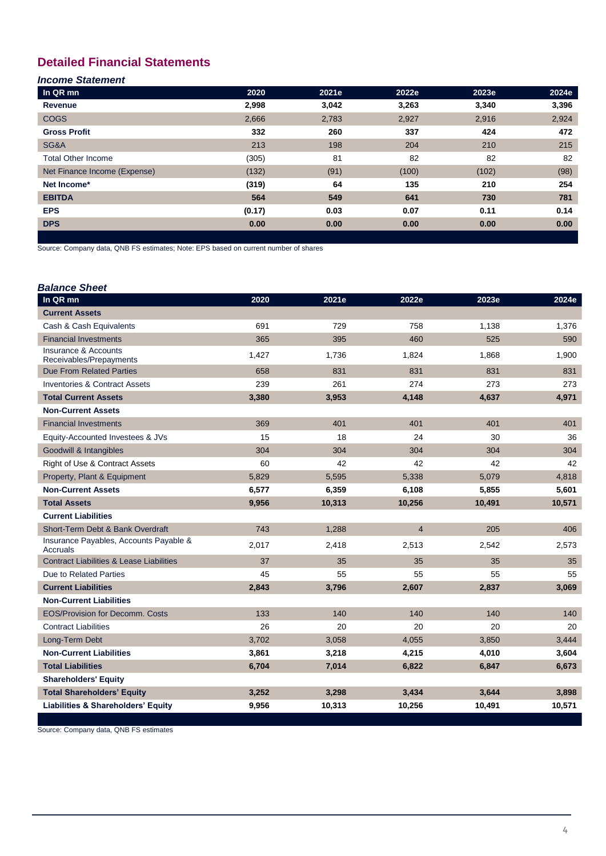# **Detailed Financial Statements**

# *Income Statement*

| In QR mn                     | 2020   | 2021e | 2022e | 2023e | 2024e |
|------------------------------|--------|-------|-------|-------|-------|
| Revenue                      | 2,998  | 3,042 | 3,263 | 3,340 | 3,396 |
| <b>COGS</b>                  | 2,666  | 2,783 | 2,927 | 2,916 | 2,924 |
| <b>Gross Profit</b>          | 332    | 260   | 337   | 424   | 472   |
| SG&A                         | 213    | 198   | 204   | 210   | 215   |
| <b>Total Other Income</b>    | (305)  | 81    | 82    | 82    | 82    |
| Net Finance Income (Expense) | (132)  | (91)  | (100) | (102) | (98)  |
| Net Income*                  | (319)  | 64    | 135   | 210   | 254   |
| <b>EBITDA</b>                | 564    | 549   | 641   | 730   | 781   |
| <b>EPS</b>                   | (0.17) | 0.03  | 0.07  | 0.11  | 0.14  |
| <b>DPS</b>                   | 0.00   | 0.00  | 0.00  | 0.00  | 0.00  |
|                              |        |       |       |       |       |

Source: Company data, QNB FS estimates; Note: EPS based on current number of shares

| <b>Balance Sheet</b>                                       |       |        |                |        |        |
|------------------------------------------------------------|-------|--------|----------------|--------|--------|
| In QR mn                                                   | 2020  | 2021e  | 2022e          | 2023e  | 2024e  |
| <b>Current Assets</b>                                      |       |        |                |        |        |
| Cash & Cash Equivalents                                    | 691   | 729    | 758            | 1,138  | 1,376  |
| <b>Financial Investments</b>                               | 365   | 395    | 460            | 525    | 590    |
| <b>Insurance &amp; Accounts</b><br>Receivables/Prepayments | 1,427 | 1,736  | 1,824          | 1,868  | 1,900  |
| <b>Due From Related Parties</b>                            | 658   | 831    | 831            | 831    | 831    |
| <b>Inventories &amp; Contract Assets</b>                   | 239   | 261    | 274            | 273    | 273    |
| <b>Total Current Assets</b>                                | 3,380 | 3,953  | 4,148          | 4,637  | 4,971  |
| <b>Non-Current Assets</b>                                  |       |        |                |        |        |
| <b>Financial Investments</b>                               | 369   | 401    | 401            | 401    | 401    |
| Equity-Accounted Investees & JVs                           | 15    | 18     | 24             | 30     | 36     |
| Goodwill & Intangibles                                     | 304   | 304    | 304            | 304    | 304    |
| <b>Right of Use &amp; Contract Assets</b>                  | 60    | 42     | 42             | 42     | 42     |
| Property, Plant & Equipment                                | 5,829 | 5,595  | 5,338          | 5,079  | 4,818  |
| <b>Non-Current Assets</b>                                  | 6,577 | 6,359  | 6,108          | 5,855  | 5,601  |
| <b>Total Assets</b>                                        | 9,956 | 10,313 | 10,256         | 10,491 | 10,571 |
| <b>Current Liabilities</b>                                 |       |        |                |        |        |
| Short-Term Debt & Bank Overdraft                           | 743   | 1,288  | $\overline{4}$ | 205    | 406    |
| Insurance Payables, Accounts Payable &<br>Accruals         | 2,017 | 2,418  | 2,513          | 2,542  | 2,573  |
| <b>Contract Liabilities &amp; Lease Liabilities</b>        | 37    | 35     | 35             | 35     | 35     |
| Due to Related Parties                                     | 45    | 55     | 55             | 55     | 55     |
| <b>Current Liabilities</b>                                 | 2,843 | 3,796  | 2,607          | 2,837  | 3,069  |
| <b>Non-Current Liabilities</b>                             |       |        |                |        |        |
| <b>EOS/Provision for Decomm, Costs</b>                     | 133   | 140    | 140            | 140    | 140    |
| <b>Contract Liabilities</b>                                | 26    | 20     | 20             | 20     | 20     |
| Long-Term Debt                                             | 3,702 | 3,058  | 4,055          | 3,850  | 3,444  |
| <b>Non-Current Liabilities</b>                             | 3,861 | 3,218  | 4,215          | 4,010  | 3,604  |
| <b>Total Liabilities</b>                                   | 6,704 | 7,014  | 6,822          | 6,847  | 6,673  |
| <b>Shareholders' Equity</b>                                |       |        |                |        |        |
| <b>Total Shareholders' Equity</b>                          | 3,252 | 3,298  | 3,434          | 3,644  | 3,898  |
| <b>Liabilities &amp; Shareholders' Equity</b>              | 9,956 | 10,313 | 10,256         | 10,491 | 10,571 |

Source: Company data, QNB FS estimates